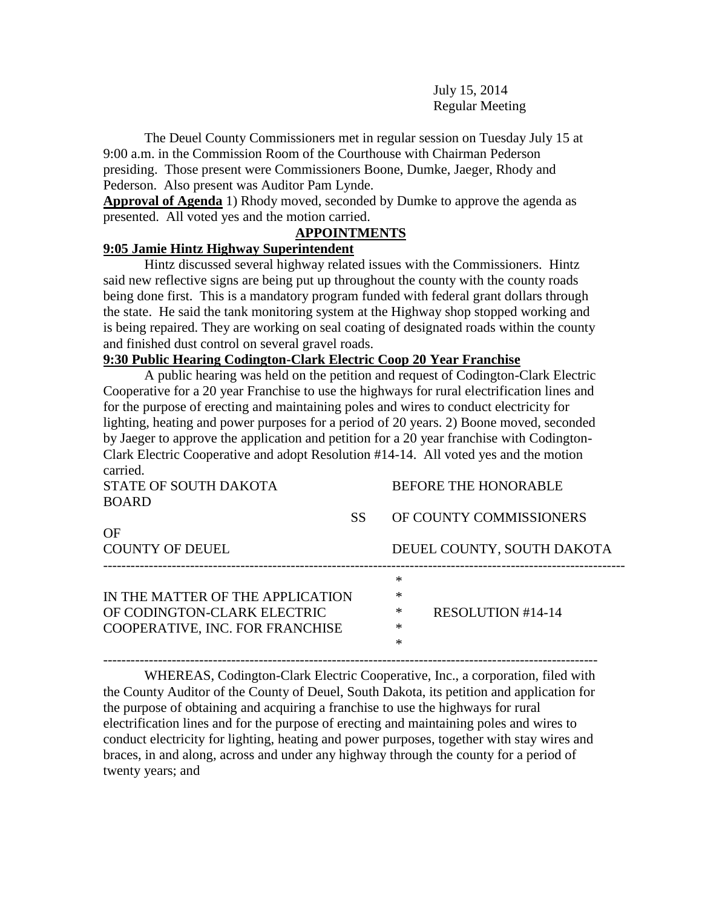July 15, 2014 Regular Meeting

The Deuel County Commissioners met in regular session on Tuesday July 15 at 9:00 a.m. in the Commission Room of the Courthouse with Chairman Pederson presiding. Those present were Commissioners Boone, Dumke, Jaeger, Rhody and Pederson. Also present was Auditor Pam Lynde.

**Approval of Agenda** 1) Rhody moved, seconded by Dumke to approve the agenda as presented. All voted yes and the motion carried.

#### **APPOINTMENTS**

#### **9:05 Jamie Hintz Highway Superintendent**

Hintz discussed several highway related issues with the Commissioners. Hintz said new reflective signs are being put up throughout the county with the county roads being done first. This is a mandatory program funded with federal grant dollars through the state. He said the tank monitoring system at the Highway shop stopped working and is being repaired. They are working on seal coating of designated roads within the county and finished dust control on several gravel roads.

## **9:30 Public Hearing Codington-Clark Electric Coop 20 Year Franchise**

A public hearing was held on the petition and request of Codington-Clark Electric Cooperative for a 20 year Franchise to use the highways for rural electrification lines and for the purpose of erecting and maintaining poles and wires to conduct electricity for lighting, heating and power purposes for a period of 20 years. 2) Boone moved, seconded by Jaeger to approve the application and petition for a 20 year franchise with Codington-Clark Electric Cooperative and adopt Resolution #14-14. All voted yes and the motion carried.

STATE OF SOUTH DAKOTA BEFORE THE HONORABLE BOARD

| OF                               | SS |        | OF COUNTY COMMISSIONERS    |
|----------------------------------|----|--------|----------------------------|
| <b>COUNTY OF DEUEL</b>           |    |        | DEUEL COUNTY, SOUTH DAKOTA |
|                                  |    | *      |                            |
| IN THE MATTER OF THE APPLICATION |    | ∗      |                            |
| OF CODINGTON-CLARK ELECTRIC      |    | ∗      | RESOLUTION #14-14          |
| COOPERATIVE, INC. FOR FRANCHISE  |    | ∗      |                            |
|                                  |    | $\ast$ |                            |
|                                  |    |        |                            |

WHEREAS, Codington-Clark Electric Cooperative, Inc., a corporation, filed with the County Auditor of the County of Deuel, South Dakota, its petition and application for the purpose of obtaining and acquiring a franchise to use the highways for rural electrification lines and for the purpose of erecting and maintaining poles and wires to conduct electricity for lighting, heating and power purposes, together with stay wires and braces, in and along, across and under any highway through the county for a period of twenty years; and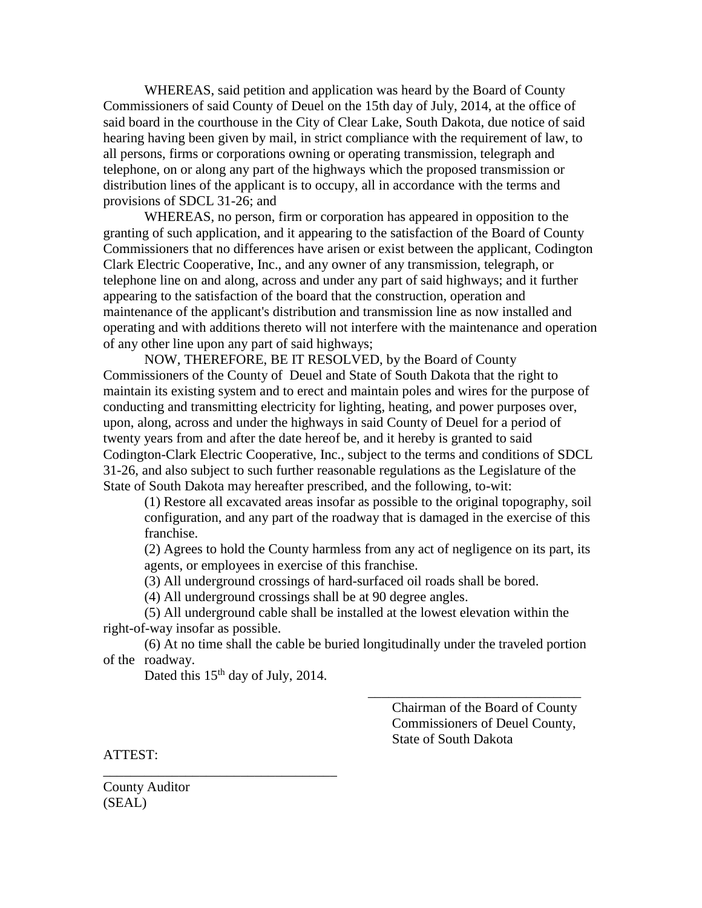WHEREAS, said petition and application was heard by the Board of County Commissioners of said County of Deuel on the 15th day of July, 2014, at the office of said board in the courthouse in the City of Clear Lake, South Dakota, due notice of said hearing having been given by mail, in strict compliance with the requirement of law, to all persons, firms or corporations owning or operating transmission, telegraph and telephone, on or along any part of the highways which the proposed transmission or distribution lines of the applicant is to occupy, all in accordance with the terms and provisions of SDCL 31-26; and

WHEREAS, no person, firm or corporation has appeared in opposition to the granting of such application, and it appearing to the satisfaction of the Board of County Commissioners that no differences have arisen or exist between the applicant, Codington Clark Electric Cooperative, Inc., and any owner of any transmission, telegraph, or telephone line on and along, across and under any part of said highways; and it further appearing to the satisfaction of the board that the construction, operation and maintenance of the applicant's distribution and transmission line as now installed and operating and with additions thereto will not interfere with the maintenance and operation of any other line upon any part of said highways;

NOW, THEREFORE, BE IT RESOLVED, by the Board of County Commissioners of the County of Deuel and State of South Dakota that the right to maintain its existing system and to erect and maintain poles and wires for the purpose of conducting and transmitting electricity for lighting, heating, and power purposes over, upon, along, across and under the highways in said County of Deuel for a period of twenty years from and after the date hereof be, and it hereby is granted to said Codington-Clark Electric Cooperative, Inc., subject to the terms and conditions of SDCL 31-26, and also subject to such further reasonable regulations as the Legislature of the State of South Dakota may hereafter prescribed, and the following, to-wit:

(1) Restore all excavated areas insofar as possible to the original topography, soil configuration, and any part of the roadway that is damaged in the exercise of this franchise.

(2) Agrees to hold the County harmless from any act of negligence on its part, its agents, or employees in exercise of this franchise.

(3) All underground crossings of hard-surfaced oil roads shall be bored.

(4) All underground crossings shall be at 90 degree angles.

(5) All underground cable shall be installed at the lowest elevation within the right-of-way insofar as possible.

(6) At no time shall the cable be buried longitudinally under the traveled portion of the roadway.

Dated this 15<sup>th</sup> day of July, 2014.

\_\_\_\_\_\_\_\_\_\_\_\_\_\_\_\_\_\_\_\_\_\_\_\_\_\_\_\_\_\_\_\_\_\_

Chairman of the Board of County Commissioners of Deuel County, State of South Dakota

 $\overline{\phantom{a}}$  , which is a set of the set of the set of the set of the set of the set of the set of the set of the set of the set of the set of the set of the set of the set of the set of the set of the set of the set of th

ATTEST:

County Auditor (SEAL)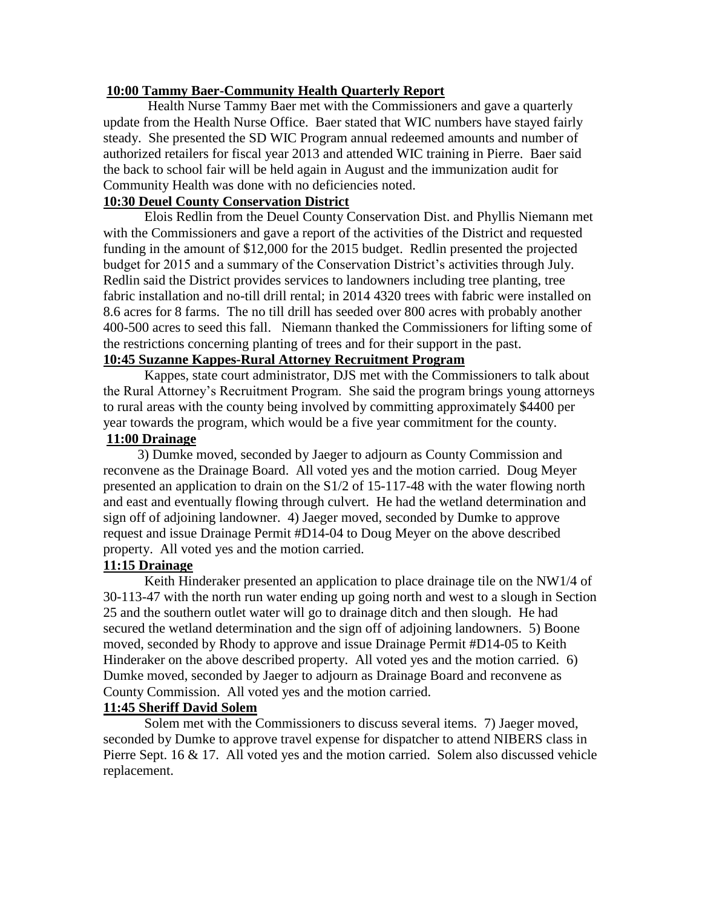#### **10:00 Tammy Baer-Community Health Quarterly Report**

Health Nurse Tammy Baer met with the Commissioners and gave a quarterly update from the Health Nurse Office. Baer stated that WIC numbers have stayed fairly steady. She presented the SD WIC Program annual redeemed amounts and number of authorized retailers for fiscal year 2013 and attended WIC training in Pierre. Baer said the back to school fair will be held again in August and the immunization audit for Community Health was done with no deficiencies noted.

## **10:30 Deuel County Conservation District**

Elois Redlin from the Deuel County Conservation Dist. and Phyllis Niemann met with the Commissioners and gave a report of the activities of the District and requested funding in the amount of \$12,000 for the 2015 budget. Redlin presented the projected budget for 2015 and a summary of the Conservation District's activities through July. Redlin said the District provides services to landowners including tree planting, tree fabric installation and no-till drill rental; in 2014 4320 trees with fabric were installed on 8.6 acres for 8 farms. The no till drill has seeded over 800 acres with probably another 400-500 acres to seed this fall. Niemann thanked the Commissioners for lifting some of the restrictions concerning planting of trees and for their support in the past.

# **10:45 Suzanne Kappes-Rural Attorney Recruitment Program**

Kappes, state court administrator, DJS met with the Commissioners to talk about the Rural Attorney's Recruitment Program. She said the program brings young attorneys to rural areas with the county being involved by committing approximately \$4400 per year towards the program, which would be a five year commitment for the county.

# **11:00 Drainage**

 3) Dumke moved, seconded by Jaeger to adjourn as County Commission and reconvene as the Drainage Board. All voted yes and the motion carried. Doug Meyer presented an application to drain on the S1/2 of 15-117-48 with the water flowing north and east and eventually flowing through culvert. He had the wetland determination and sign off of adjoining landowner. 4) Jaeger moved, seconded by Dumke to approve request and issue Drainage Permit #D14-04 to Doug Meyer on the above described property. All voted yes and the motion carried.

## **11:15 Drainage**

Keith Hinderaker presented an application to place drainage tile on the NW1/4 of 30-113-47 with the north run water ending up going north and west to a slough in Section 25 and the southern outlet water will go to drainage ditch and then slough. He had secured the wetland determination and the sign off of adjoining landowners. 5) Boone moved, seconded by Rhody to approve and issue Drainage Permit #D14-05 to Keith Hinderaker on the above described property. All voted yes and the motion carried. 6) Dumke moved, seconded by Jaeger to adjourn as Drainage Board and reconvene as County Commission. All voted yes and the motion carried.

## **11:45 Sheriff David Solem**

Solem met with the Commissioners to discuss several items. 7) Jaeger moved, seconded by Dumke to approve travel expense for dispatcher to attend NIBERS class in Pierre Sept. 16 & 17. All voted yes and the motion carried. Solem also discussed vehicle replacement.